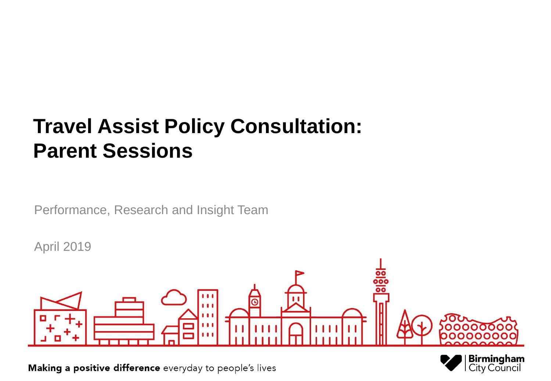### **Travel Assist Policy Consultation: Parent Sessions**

Performance, Research and Insight Team

April 2019



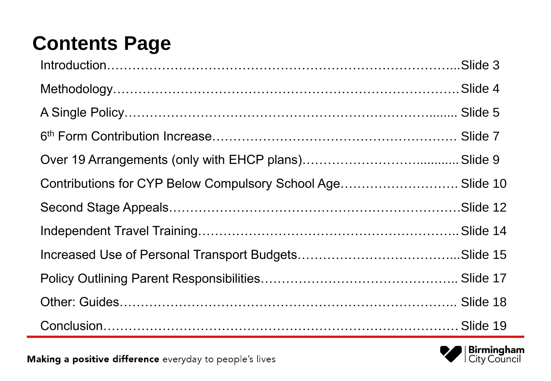## **Contents Page**

| Contributions for CYP Below Compulsory School Age Slide 10 |  |
|------------------------------------------------------------|--|
|                                                            |  |
|                                                            |  |
|                                                            |  |
|                                                            |  |
|                                                            |  |
|                                                            |  |

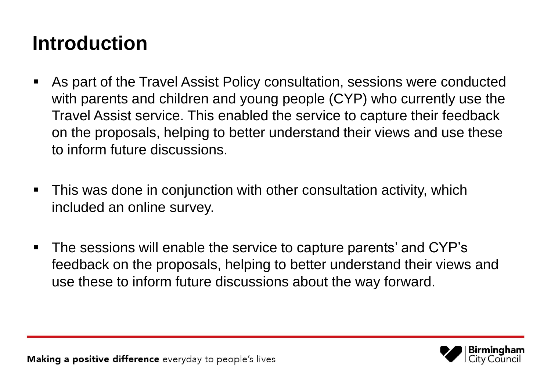#### **Introduction**

- As part of the Travel Assist Policy consultation, sessions were conducted with parents and children and young people (CYP) who currently use the Travel Assist service. This enabled the service to capture their feedback on the proposals, helping to better understand their views and use these to inform future discussions.
- This was done in conjunction with other consultation activity, which included an online survey.
- The sessions will enable the service to capture parents' and CYP's feedback on the proposals, helping to better understand their views and use these to inform future discussions about the way forward.

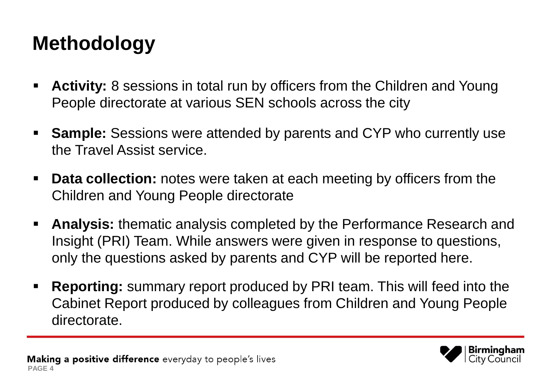### **Methodology**

- **Activity:** 8 sessions in total run by officers from the Children and Young People directorate at various SEN schools across the city
- **Sample:** Sessions were attended by parents and CYP who currently use the Travel Assist service.
- **Data collection:** notes were taken at each meeting by officers from the Children and Young People directorate
- **Analysis:** thematic analysis completed by the Performance Research and Insight (PRI) Team. While answers were given in response to questions, only the questions asked by parents and CYP will be reported here.
- **Reporting:** summary report produced by PRI team. This will feed into the Cabinet Report produced by colleagues from Children and Young People directorate.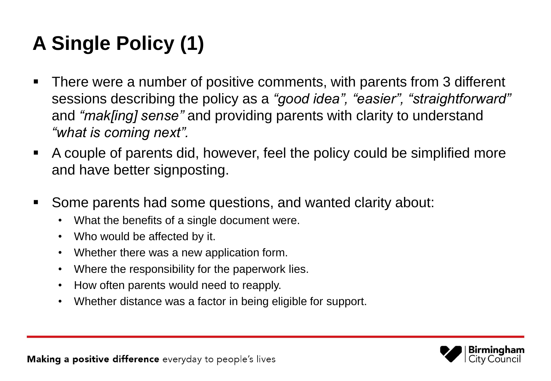# **A Single Policy (1)**

- There were a number of positive comments, with parents from 3 different sessions describing the policy as a *"good idea", "easier", "straightforward"* and *"mak[ing] sense"* and providing parents with clarity to understand *"what is coming next".*
- A couple of parents did, however, feel the policy could be simplified more and have better signposting.
- Some parents had some questions, and wanted clarity about:
	- What the benefits of a single document were.
	- Who would be affected by it.
	- Whether there was a new application form.
	- Where the responsibility for the paperwork lies.
	- How often parents would need to reapply.
	- Whether distance was a factor in being eligible for support.

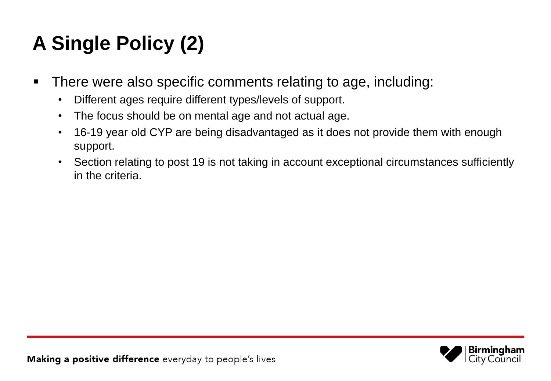# **A Single Policy (2)**

- There were also specific comments relating to age, including:
	- Different ages require different types/levels of support.
	- The focus should be on mental age and not actual age.
	- 16-19 year old CYP are being disadvantaged as it does not provide them with enough support.
	- Section relating to post 19 is not taking in account exceptional circumstances sufficiently in the criteria.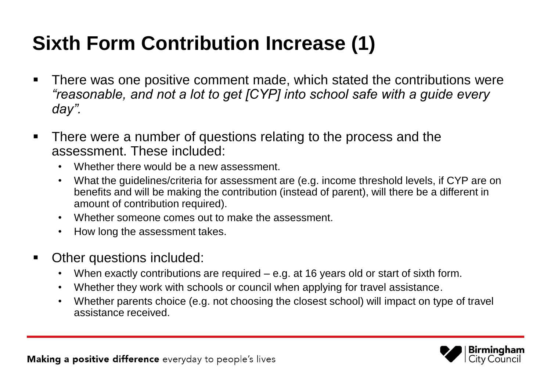### **Sixth Form Contribution Increase (1)**

- There was one positive comment made, which stated the contributions were *"reasonable, and not a lot to get [CYP] into school safe with a guide every day".*
- There were a number of questions relating to the process and the assessment. These included:
	- Whether there would be a new assessment.
	- What the guidelines/criteria for assessment are (e.g. income threshold levels, if CYP are on benefits and will be making the contribution (instead of parent), will there be a different in amount of contribution required).
	- Whether someone comes out to make the assessment.
	- How long the assessment takes.
- **Other questions included:** 
	- When exactly contributions are required e.g. at 16 years old or start of sixth form.
	- Whether they work with schools or council when applying for travel assistance.
	- Whether parents choice (e.g. not choosing the closest school) will impact on type of travel assistance received.

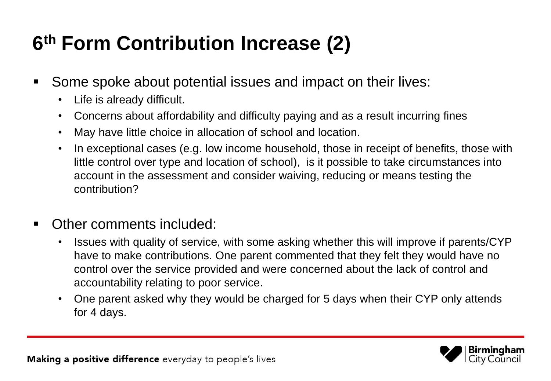### **6 th Form Contribution Increase (2)**

- **Some spoke about potential issues and impact on their lives:** 
	- Life is already difficult.
	- Concerns about affordability and difficulty paying and as a result incurring fines
	- May have little choice in allocation of school and location.
	- In exceptional cases (e.g. low income household, those in receipt of benefits, those with little control over type and location of school), is it possible to take circumstances into account in the assessment and consider waiving, reducing or means testing the contribution?
- Other comments included:
	- Issues with quality of service, with some asking whether this will improve if parents/CYP have to make contributions. One parent commented that they felt they would have no control over the service provided and were concerned about the lack of control and accountability relating to poor service.
	- One parent asked why they would be charged for 5 days when their CYP only attends for 4 days.

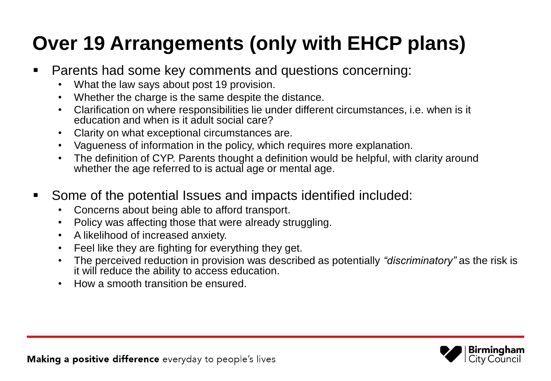### **Over 19 Arrangements (only with EHCP plans)**

- Parents had some key comments and questions concerning:
	- What the law says about post 19 provision.
	- Whether the charge is the same despite the distance.
	- Clarification on where responsibilities lie under different circumstances, i.e. when is it education and when is it adult social care?
	- Clarity on what exceptional circumstances are.
	- Vagueness of information in the policy, which requires more explanation.
	- The definition of CYP. Parents thought a definition would be helpful, with clarity around whether the age referred to is actual age or mental age.
- Some of the potential Issues and impacts identified included:
	- Concerns about being able to afford transport.
	- Policy was affecting those that were already struggling.
	- A likelihood of increased anxiety.
	- Feel like they are fighting for everything they get.
	- The perceived reduction in provision was described as potentially *"discriminatory"* as the risk is it will reduce the ability to access education.
	- How a smooth transition be ensured.

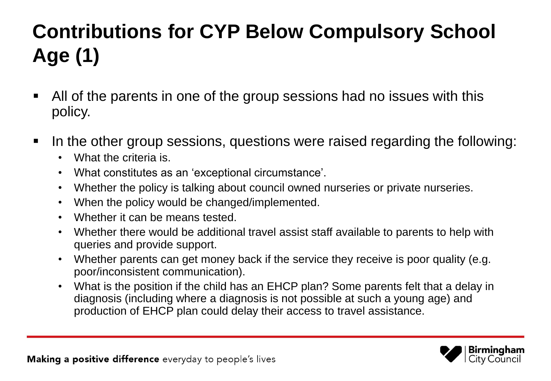# **Contributions for CYP Below Compulsory School Age (1)**

- All of the parents in one of the group sessions had no issues with this policy.
- In the other group sessions, questions were raised regarding the following:
	- What the criteria is.
	- What constitutes as an 'exceptional circumstance'.
	- Whether the policy is talking about council owned nurseries or private nurseries.
	- When the policy would be changed/implemented.
	- Whether it can be means tested.
	- Whether there would be additional travel assist staff available to parents to help with queries and provide support.
	- Whether parents can get money back if the service they receive is poor quality (e.g. poor/inconsistent communication).
	- What is the position if the child has an EHCP plan? Some parents felt that a delay in diagnosis (including where a diagnosis is not possible at such a young age) and production of EHCP plan could delay their access to travel assistance.

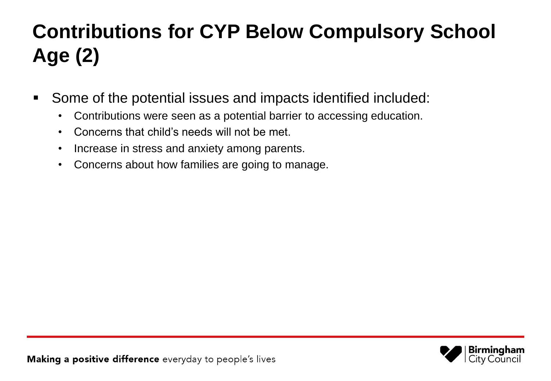## **Contributions for CYP Below Compulsory School Age (2)**

- Some of the potential issues and impacts identified included:
	- Contributions were seen as a potential barrier to accessing education.
	- Concerns that child's needs will not be met.
	- Increase in stress and anxiety among parents.
	- Concerns about how families are going to manage.

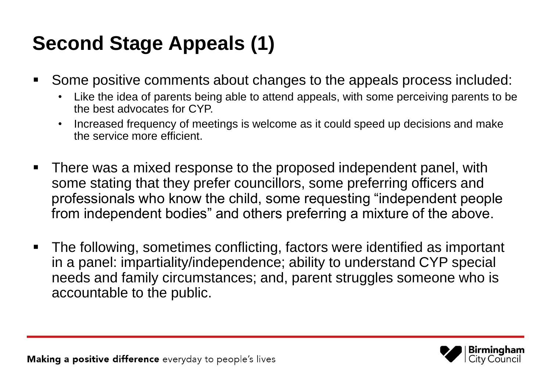### **Second Stage Appeals (1)**

- Some positive comments about changes to the appeals process included:
	- Like the idea of parents being able to attend appeals, with some perceiving parents to be the best advocates for CYP.
	- Increased frequency of meetings is welcome as it could speed up decisions and make the service more efficient.
- There was a mixed response to the proposed independent panel, with some stating that they prefer councillors, some preferring officers and professionals who know the child, some requesting "independent people from independent bodies" and others preferring a mixture of the above.
- The following, sometimes conflicting, factors were identified as important in a panel: impartiality/independence; ability to understand CYP special needs and family circumstances; and, parent struggles someone who is accountable to the public.

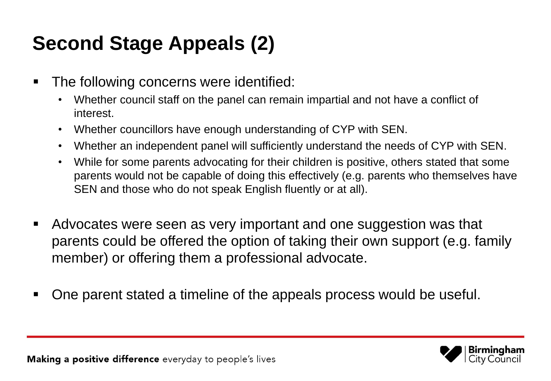### **Second Stage Appeals (2)**

- **The following concerns were identified:** 
	- Whether council staff on the panel can remain impartial and not have a conflict of interest.
	- Whether councillors have enough understanding of CYP with SEN.
	- Whether an independent panel will sufficiently understand the needs of CYP with SEN.
	- While for some parents advocating for their children is positive, others stated that some parents would not be capable of doing this effectively (e.g. parents who themselves have SEN and those who do not speak English fluently or at all).
- Advocates were seen as very important and one suggestion was that parents could be offered the option of taking their own support (e.g. family member) or offering them a professional advocate.
- One parent stated a timeline of the appeals process would be useful.

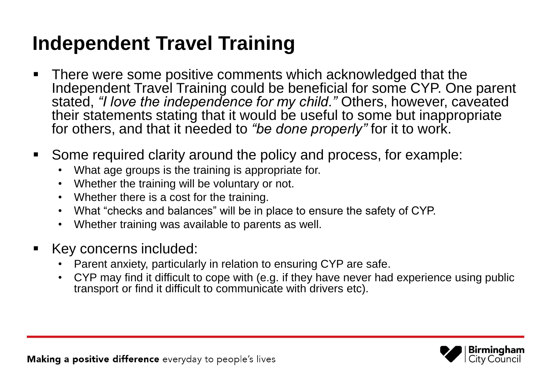### **Independent Travel Training**

- There were some positive comments which acknowledged that the Independent Travel Training could be beneficial for some CYP. One parent stated, *"I love the independence for my child."* Others, however, caveated their statements stating that it would be useful to some but inappropriate for others, and that it needed to "be done properly" for it to work.
- Some required clarity around the policy and process, for example:
	- What age groups is the training is appropriate for.
	- Whether the training will be voluntary or not.
	- Whether there is a cost for the training.
	- What "checks and balances" will be in place to ensure the safety of CYP.
	- Whether training was available to parents as well.
- Key concerns included:
	- Parent anxiety, particularly in relation to ensuring CYP are safe.
	- CYP may find it difficult to cope with (e.g. if they have never had experience using public transport or find it difficult to communicate with drivers etc).

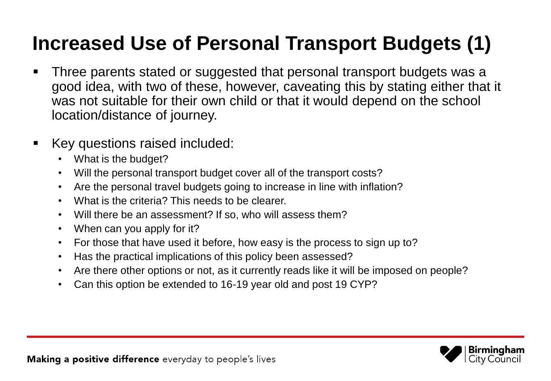### **Increased Use of Personal Transport Budgets (1)**

- Three parents stated or suggested that personal transport budgets was a good idea, with two of these, however, caveating this by stating either that it was not suitable for their own child or that it would depend on the school location/distance of journey.
- **Key questions raised included:** 
	- What is the budget?
	- Will the personal transport budget cover all of the transport costs?
	- Are the personal travel budgets going to increase in line with inflation?
	- What is the criteria? This needs to be clearer.
	- Will there be an assessment? If so, who will assess them?
	- When can you apply for it?
	- For those that have used it before, how easy is the process to sign up to?
	- Has the practical implications of this policy been assessed?
	- Are there other options or not, as it currently reads like it will be imposed on people?
	- Can this option be extended to 16-19 year old and post 19 CYP?

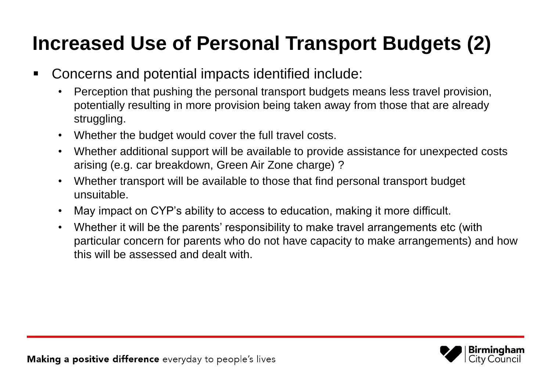### **Increased Use of Personal Transport Budgets (2)**

- Concerns and potential impacts identified include:
	- Perception that pushing the personal transport budgets means less travel provision, potentially resulting in more provision being taken away from those that are already struggling.
	- Whether the budget would cover the full travel costs.
	- Whether additional support will be available to provide assistance for unexpected costs arising (e.g. car breakdown, Green Air Zone charge) ?
	- Whether transport will be available to those that find personal transport budget unsuitable.
	- May impact on CYP's ability to access to education, making it more difficult.
	- Whether it will be the parents' responsibility to make travel arrangements etc (with particular concern for parents who do not have capacity to make arrangements) and how this will be assessed and dealt with.

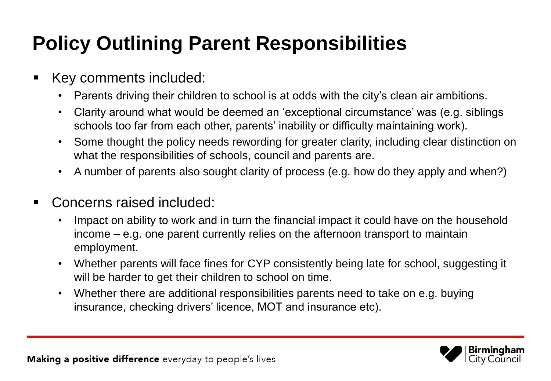### **Policy Outlining Parent Responsibilities**

- Key comments included:
	- Parents driving their children to school is at odds with the city's clean air ambitions.
	- Clarity around what would be deemed an 'exceptional circumstance' was (e.g. siblings schools too far from each other, parents' inability or difficulty maintaining work).
	- Some thought the policy needs rewording for greater clarity, including clear distinction on what the responsibilities of schools, council and parents are.
	- A number of parents also sought clarity of process (e.g. how do they apply and when?)
- Concerns raised included:
	- Impact on ability to work and in turn the financial impact it could have on the household income – e.g. one parent currently relies on the afternoon transport to maintain employment.
	- Whether parents will face fines for CYP consistently being late for school, suggesting it will be harder to get their children to school on time.
	- Whether there are additional responsibilities parents need to take on e.g. buying insurance, checking drivers' licence, MOT and insurance etc).

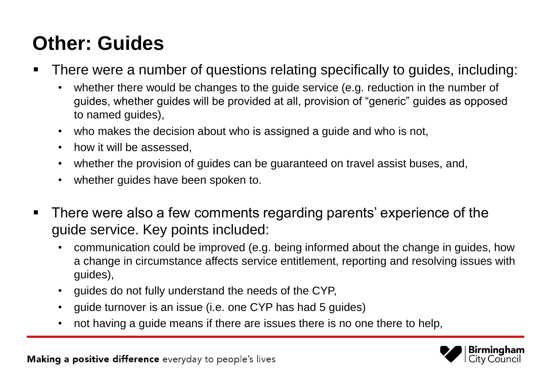### **Other: Guides**

- There were a number of questions relating specifically to guides, including:
	- whether there would be changes to the guide service (e.g. reduction in the number of guides, whether guides will be provided at all, provision of "generic" guides as opposed to named guides),
	- who makes the decision about who is assigned a guide and who is not,
	- how it will be assessed.
	- whether the provision of guides can be guaranteed on travel assist buses, and,
	- whether guides have been spoken to.
- There were also a few comments regarding parents' experience of the guide service. Key points included:
	- communication could be improved (e.g. being informed about the change in guides, how a change in circumstance affects service entitlement, reporting and resolving issues with guides),
	- guides do not fully understand the needs of the CYP,
	- guide turnover is an issue (i.e. one CYP has had 5 guides)
	- not having a guide means if there are issues there is no one there to help,

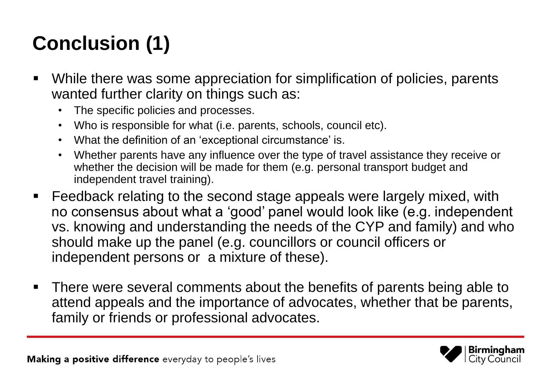# **Conclusion (1)**

- While there was some appreciation for simplification of policies, parents wanted further clarity on things such as:
	- The specific policies and processes.
	- Who is responsible for what (i.e. parents, schools, council etc).
	- What the definition of an 'exceptional circumstance' is.
	- Whether parents have any influence over the type of travel assistance they receive or whether the decision will be made for them (e.g. personal transport budget and independent travel training).
- **Feedback relating to the second stage appeals were largely mixed, with** no consensus about what a 'good' panel would look like (e.g. independent vs. knowing and understanding the needs of the CYP and family) and who should make up the panel (e.g. councillors or council officers or independent persons or a mixture of these).
- **There were several comments about the benefits of parents being able to** attend appeals and the importance of advocates, whether that be parents, family or friends or professional advocates.